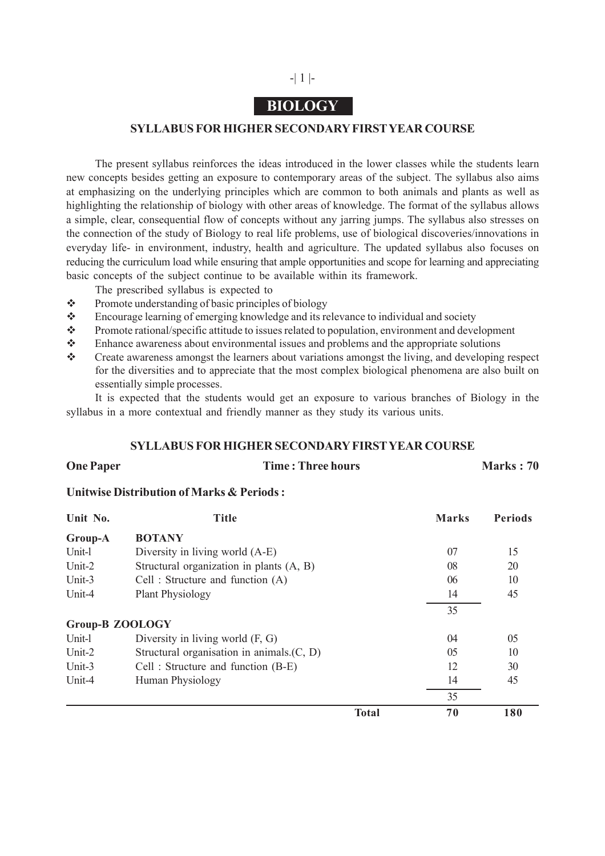## -| 1 |-

## **BIOLOGY**

#### **SYLLABUS FOR HIGHER SECONDARY FIRST YEAR COURSE**

The present syllabus reinforces the ideas introduced in the lower classes while the students learn new concepts besides getting an exposure to contemporary areas of the subject. The syllabus also aims at emphasizing on the underlying principles which are common to both animals and plants as well as highlighting the relationship of biology with other areas of knowledge. The format of the syllabus allows a simple, clear, consequential flow of concepts without any jarring jumps. The syllabus also stresses on the connection of the study of Biology to real life problems, use of biological discoveries/innovations in everyday life- in environment, industry, health and agriculture. The updated syllabus also focuses on reducing the curriculum load while ensuring that ample opportunities and scope for learning and appreciating basic concepts of the subject continue to be available within its framework.

The prescribed syllabus is expected to

- $\div$  Promote understanding of basic principles of biology
- Encourage learning of emerging knowledge and its relevance to individual and society
- \* Promote rational/specific attitude to issues related to population, environment and development
- $\bullet$  Enhance awareness about environmental issues and problems and the appropriate solutions
- Create awareness amongst the learners about variations amongst the living, and developing respect for the diversities and to appreciate that the most complex biological phenomena are also built on essentially simple processes.

It is expected that the students would get an exposure to various branches of Biology in the syllabus in a more contextual and friendly manner as they study its various units.

#### **SYLLABUS FOR HIGHER SECONDARY FIRST YEAR COURSE**

**One Paper Time : Three hours Marks : 70** 

#### **Unitwise Distribution of Marks & Periods :**

| Unit No.               | <b>Title</b>                                 |              | <b>Marks</b> | <b>Periods</b> |
|------------------------|----------------------------------------------|--------------|--------------|----------------|
| Group-A                | <b>BOTANY</b>                                |              |              |                |
| Unit-l                 | Diversity in living world (A-E)              |              | 07           | 15             |
| Unit-2                 | Structural organization in plants (A, B)     |              | 08           | 20             |
| Unit-3                 | Cell: Structure and function (A)             |              | 06           | 10             |
| Unit-4                 | <b>Plant Physiology</b>                      |              | 14           | 45             |
|                        |                                              |              | 35           |                |
| <b>Group-B ZOOLOGY</b> |                                              |              |              |                |
| Unit-l                 | Diversity in living world $(F, G)$           |              | 04           | 05             |
| Unit-2                 | Structural organisation in animals. $(C, D)$ |              | 05           | 10             |
| Unit-3                 | Cell: Structure and function (B-E)           |              | 12           | 30             |
| Unit-4                 | Human Physiology                             |              | 14           | 45             |
|                        |                                              |              | 35           |                |
|                        |                                              | <b>Total</b> | 70           | 180            |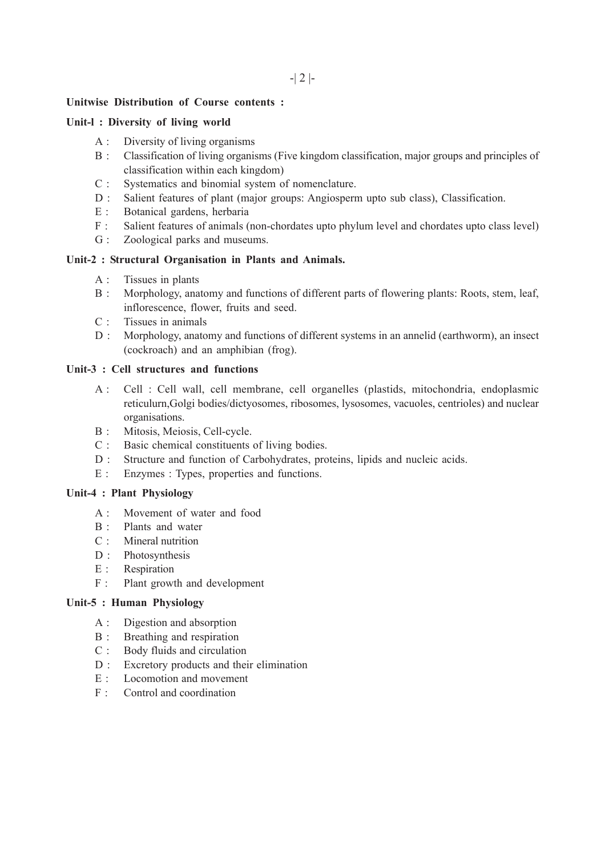#### **Unitwise Distribution of Course contents :**

#### **Unit-l : Diversity of living world**

- A : Diversity of living organisms
- B : Classification of living organisms (Five kingdom classification, major groups and principles of classification within each kingdom)
- C : Systematics and binomial system of nomenclature.
- D : Salient features of plant (major groups: Angiosperm upto sub class), Classification.
- E : Botanical gardens, herbaria
- F : Salient features of animals (non-chordates upto phylum level and chordates upto class level)
- G : Zoological parks and museums.

#### **Unit-2 : Structural Organisation in Plants and Animals.**

- A : Tissues in plants
- B : Morphology, anatomy and functions of different parts of flowering plants: Roots, stem, leaf, inflorescence, flower, fruits and seed.
- C : Tissues in animals
- D : Morphology, anatomy and functions of different systems in an annelid (earthworm), an insect (cockroach) and an amphibian (frog).

### **Unit-3 : Cell structures and functions**

- A : Cell : Cell wall, cell membrane, cell organelles (plastids, mitochondria, endoplasmic reticulurn,Golgi bodies/dictyosomes, ribosomes, lysosomes, vacuoles, centrioles) and nuclear organisations.
- B : Mitosis, Meiosis, Cell-cycle.
- C : Basic chemical constituents of living bodies.
- D : Structure and function of Carbohydrates, proteins, lipids and nucleic acids.
- E : Enzymes : Types, properties and functions.

#### **Unit-4 : Plant Physiology**

- A : Movement of water and food
- B : Plants and water
- C : Mineral nutrition
- D : Photosynthesis
- E : Respiration
- F : Plant growth and development

#### **Unit-5 : Human Physiology**

- A : Digestion and absorption
- B : Breathing and respiration
- C : Body fluids and circulation
- D : Excretory products and their elimination
- $E \cdot I$  ocomotion and movement
- F : Control and coordination